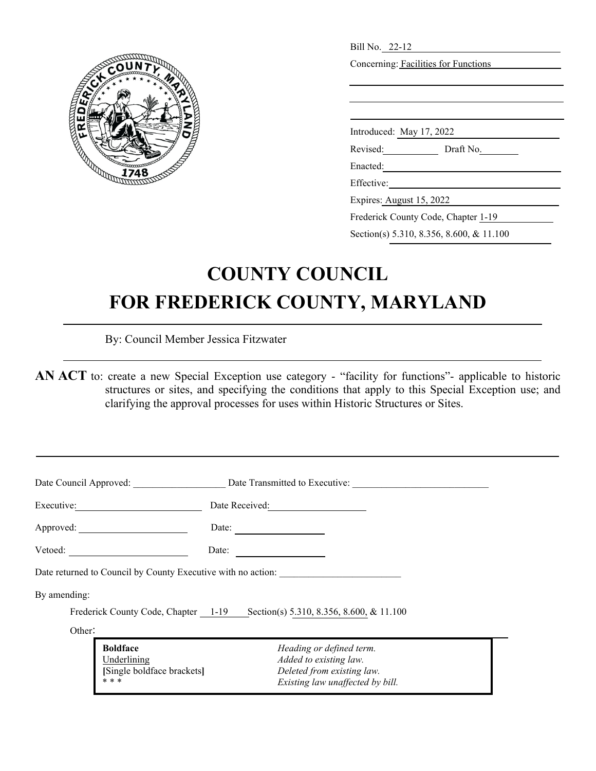

| Concerning: Facilities for Functions<br>Introduced: May 17, 2022<br>Revised:<br>Draft No.<br>Enacted:<br>Effective:<br>Expires: August 15, 2022 |  |
|-------------------------------------------------------------------------------------------------------------------------------------------------|--|
|                                                                                                                                                 |  |
|                                                                                                                                                 |  |
|                                                                                                                                                 |  |
|                                                                                                                                                 |  |
|                                                                                                                                                 |  |
|                                                                                                                                                 |  |
|                                                                                                                                                 |  |
|                                                                                                                                                 |  |
|                                                                                                                                                 |  |
|                                                                                                                                                 |  |
|                                                                                                                                                 |  |
| Frederick County Code, Chapter 1-19                                                                                                             |  |
| Section(s) 5.310, 8.356, 8.600, & 11.100                                                                                                        |  |

## **COUNTY COUNCIL FOR FREDERICK COUNTY, MARYLAND**

By: Council Member Jessica Fitzwater

**AN ACT** to: create a new Special Exception use category - "facility for functions"- applicable to historic structures or sites, and specifying the conditions that apply to this Special Exception use; and clarifying the approval processes for uses within Historic Structures or Sites.

| Date Council Approved:                                                | Date Transmitted to Executive:                                                                                       |  |  |  |  |  |
|-----------------------------------------------------------------------|----------------------------------------------------------------------------------------------------------------------|--|--|--|--|--|
| Executive:                                                            | Date Received:                                                                                                       |  |  |  |  |  |
| Approved:                                                             | Date:                                                                                                                |  |  |  |  |  |
| Vetoed:                                                               | Date:                                                                                                                |  |  |  |  |  |
|                                                                       | Date returned to Council by County Executive with no action:                                                         |  |  |  |  |  |
| By amending:                                                          |                                                                                                                      |  |  |  |  |  |
|                                                                       | Frederick County Code, Chapter 1-19 Section(s) 5.310, 8.356, 8.600, & 11.100                                         |  |  |  |  |  |
| Other:                                                                |                                                                                                                      |  |  |  |  |  |
| <b>Boldface</b><br>Underlining<br>[Single boldface brackets]<br>* * * | Heading or defined term.<br>Added to existing law.<br>Deleted from existing law.<br>Existing law unaffected by bill. |  |  |  |  |  |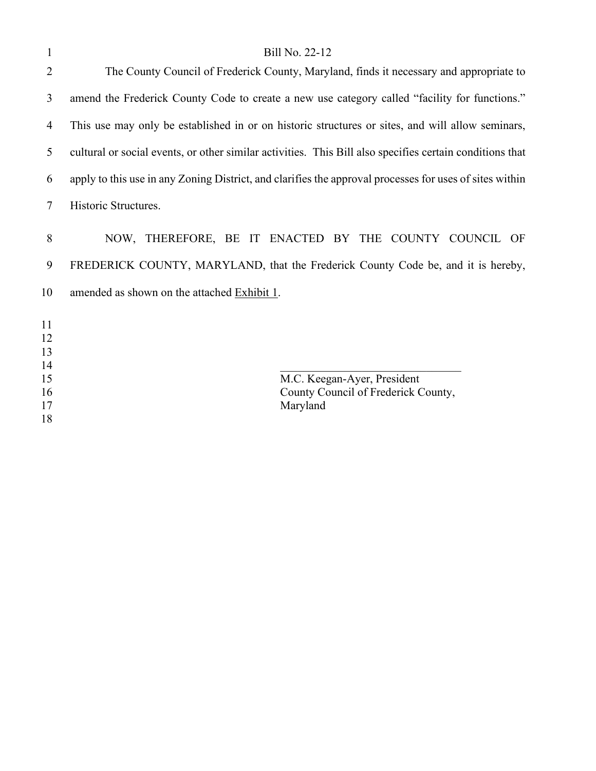| $\mathbf{1}$         | Bill No. 22-12                                                                                           |
|----------------------|----------------------------------------------------------------------------------------------------------|
| $\overline{2}$       | The County Council of Frederick County, Maryland, finds it necessary and appropriate to                  |
| 3                    | amend the Frederick County Code to create a new use category called "facility for functions."            |
| 4                    | This use may only be established in or on historic structures or sites, and will allow seminars,         |
| 5                    | cultural or social events, or other similar activities. This Bill also specifies certain conditions that |
| 6                    | apply to this use in any Zoning District, and clarifies the approval processes for uses of sites within  |
| $\tau$               | Historic Structures.                                                                                     |
| 8                    | NOW, THEREFORE, BE IT ENACTED BY THE COUNTY COUNCIL OF                                                   |
| 9                    | FREDERICK COUNTY, MARYLAND, that the Frederick County Code be, and it is hereby,                         |
| 10                   | amended as shown on the attached Exhibit 1.                                                              |
| 11<br>12<br>13<br>14 |                                                                                                          |
| 15                   | M.C. Keegan-Ayer, President                                                                              |
| 16                   | County Council of Frederick County,                                                                      |
| 17<br>18             | Maryland                                                                                                 |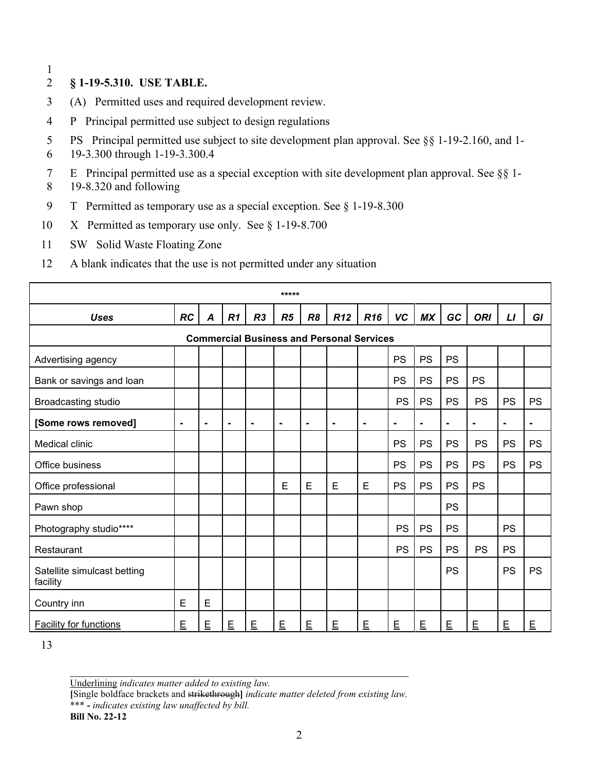1

## 2 **§ 1-19-5.310. USE TABLE.**

- 3 (A) Permitted uses and required development review.
- 4 P Principal permitted use subject to design regulations
- 5 PS Principal permitted use subject to site development plan approval. See §§ 1-19-2.160, and 1-
- 6 19-3.300 through 1-19-3.300.4

7 E Principal permitted use as a special exception with site development plan approval. See §§ 1-

- 8 19-8.320 and following
- 9 T Permitted as temporary use as a special exception. See § 1-19-8.300
- 10 X Permitted as temporary use only. See § 1-19-8.700
- 11 SW Solid Waste Floating Zone
- 12 A blank indicates that the use is not permitted under any situation

|                                         |                |                  |                |                | *****          |                |                                                  |                 |                |                |                |                |           |                |
|-----------------------------------------|----------------|------------------|----------------|----------------|----------------|----------------|--------------------------------------------------|-----------------|----------------|----------------|----------------|----------------|-----------|----------------|
| <b>Uses</b>                             | RC             | $\boldsymbol{A}$ | R1             | R <sub>3</sub> | R5             | R <sub>8</sub> | <b>R12</b>                                       | R <sub>16</sub> | <b>VC</b>      | <b>MX</b>      | GC             | <b>ORI</b>     | L1        | GI             |
|                                         |                |                  |                |                |                |                | <b>Commercial Business and Personal Services</b> |                 |                |                |                |                |           |                |
| Advertising agency                      |                |                  |                |                |                |                |                                                  |                 | PS             | PS             | PS             |                |           |                |
| Bank or savings and loan                |                |                  |                |                |                |                |                                                  |                 | <b>PS</b>      | <b>PS</b>      | <b>PS</b>      | <b>PS</b>      |           |                |
| Broadcasting studio                     |                |                  |                |                |                |                |                                                  |                 | PS             | PS             | <b>PS</b>      | PS             | <b>PS</b> | PS             |
| [Some rows removed]                     | $\blacksquare$ | $\blacksquare$   | $\blacksquare$ | $\blacksquare$ | $\blacksquare$ | $\blacksquare$ | $\blacksquare$                                   | $\blacksquare$  | $\blacksquare$ | $\blacksquare$ | $\blacksquare$ | $\blacksquare$ | ۰         | $\blacksquare$ |
| Medical clinic                          |                |                  |                |                |                |                |                                                  |                 | <b>PS</b>      | PS             | <b>PS</b>      | PS             | <b>PS</b> | PS             |
| Office business                         |                |                  |                |                |                |                |                                                  |                 | <b>PS</b>      | <b>PS</b>      | <b>PS</b>      | <b>PS</b>      | PS        | PS             |
| Office professional                     |                |                  |                |                | E              | E              | E                                                | E               | <b>PS</b>      | PS             | PS             | PS             |           |                |
| Pawn shop                               |                |                  |                |                |                |                |                                                  |                 |                |                | <b>PS</b>      |                |           |                |
| Photography studio****                  |                |                  |                |                |                |                |                                                  |                 | <b>PS</b>      | PS             | <b>PS</b>      |                | <b>PS</b> |                |
| Restaurant                              |                |                  |                |                |                |                |                                                  |                 | PS             | <b>PS</b>      | <b>PS</b>      | <b>PS</b>      | <b>PS</b> |                |
| Satellite simulcast betting<br>facility |                |                  |                |                |                |                |                                                  |                 |                |                | <b>PS</b>      |                | PS        | <b>PS</b>      |
| Country inn                             | E              | E                |                |                |                |                |                                                  |                 |                |                |                |                |           |                |
| <b>Facility for functions</b>           | E              | E                | E              | E              | E              | E              | E                                                | E               | E              | E              | E              | E              | E         | E              |

13

Underlining *indicates matter added to existing law.*

**[**Single boldface brackets and strikethrough**]** *indicate matter deleted from existing law.*

\_\_\_\_\_\_\_\_\_\_\_\_\_\_\_\_\_\_\_\_\_\_\_\_\_\_\_\_\_\_\_\_\_\_\_\_\_\_\_\_\_\_\_\_\_\_\_\_\_\_\_\_\_\_\_\_\_\_

\*\*\* **-** *indicates existing law unaffected by bill.*

**Bill No. 22-12**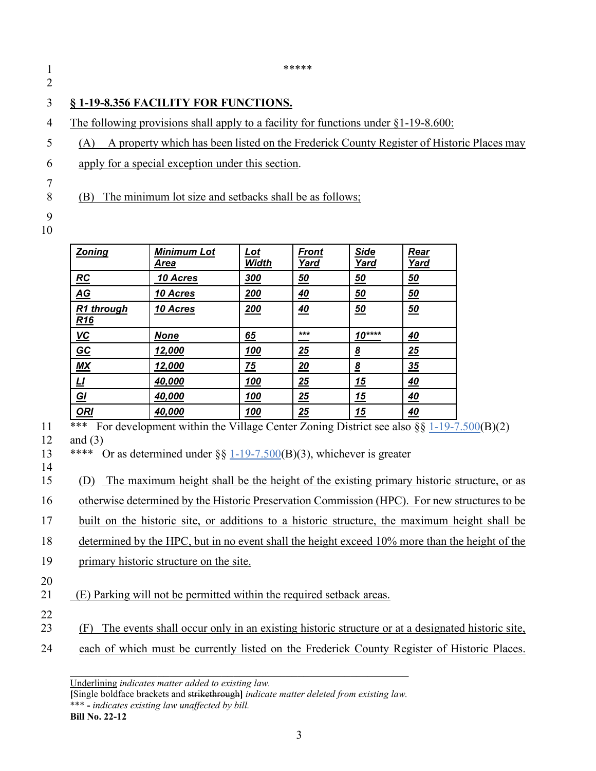$\frac{1}{1}$  \*\*\*\*\* 2

## 3 **§ 1-19-8.356 FACILITY FOR FUNCTIONS.**

4 The following provisions shall apply to a facility for functions under §1-19-8.600:

- 5 (A) A property which has been listed on the Frederick County Register of Historic Places may
- 6 apply for a special exception under this section.

8 (B) The minimum lot size and setbacks shall be as follows;

9

7

| ٠<br>I<br>۰.<br>× |
|-------------------|
|-------------------|

| <b>Zoning</b>                 | <b>Minimum Lot</b><br>Area | $Let$<br>Width | <b>Front</b><br>Yard | <b>Side</b><br>Yard | Rear<br>Yard |
|-------------------------------|----------------------------|----------------|----------------------|---------------------|--------------|
| RC                            | 10 Acres                   | 300            | 50                   | <u>50</u>           | 50           |
| $\underline{AG}$              | 10 Acres                   | 200            | 40                   | <u>50</u>           | 50           |
| R1 through<br>R <sub>16</sub> | 10 Acres                   | <u>200</u>     | 40                   | 50                  | 50           |
| $VC$                          | <b>None</b>                | 65             | ***                  | $10***$             | <u>40</u>    |
| $\underline{GC}$              | 12,000                     | 100            | 25                   | $\underline{8}$     | 25           |
| M X                           | 12,000                     | 75             | <u> 20</u>           | <u>8</u>            | 35           |
| <u>ப</u>                      | 40,000                     | 100            | 25                   | <u> 15</u>          | 40           |
| <u>GI</u>                     | 40,000                     | 100            | 25                   | 15                  | <u>40</u>    |
| <b>ORI</b>                    | 40,000                     | 100            | 25                   | <u> 15</u>          | <u>40</u>    |

<sup>\*\*\*</sup> For development within the Village Center Zoning District see also  $\S$ [[1-19-7.500\(](https://codelibrary.amlegal.com/codes/frederickcounty/latest/frederickco_md/0-0-0-34586#JD_1-19-7.500)B)(2)]

12 and (3)

13 \*\*\*\* Or as determined under §§ [1-19-7.500\(](https://codelibrary.amlegal.com/codes/frederickcounty/latest/frederickco_md/0-0-0-34586#JD_1-19-7.500)B)(3), whichever is greater

14

15 (D) The maximum height shall be the height of the existing primary historic structure, or as

16 otherwise determined by the Historic Preservation Commission (HPC). For new structures to be

17 built on the historic site, or additions to a historic structure, the maximum height shall be

18 determined by the HPC, but in no event shall the height exceed 10% more than the height of the

- 19 primary historic structure on the site.
- 20

21 (E) Parking will not be permitted within the required setback areas.

22

23 (F) The events shall occur only in an existing historic structure or at a designated historic site,

24 each of which must be currently listed on the Frederick County Register of Historic Places.

Underlining *indicates matter added to existing law.*

**[**Single boldface brackets and strikethrough**]** *indicate matter deleted from existing law.* \*\*\* **-** *indicates existing law unaffected by bill.*

\_\_\_\_\_\_\_\_\_\_\_\_\_\_\_\_\_\_\_\_\_\_\_\_\_\_\_\_\_\_\_\_\_\_\_\_\_\_\_\_\_\_\_\_\_\_\_\_\_\_\_\_\_\_\_\_\_\_

**Bill No. 22-12**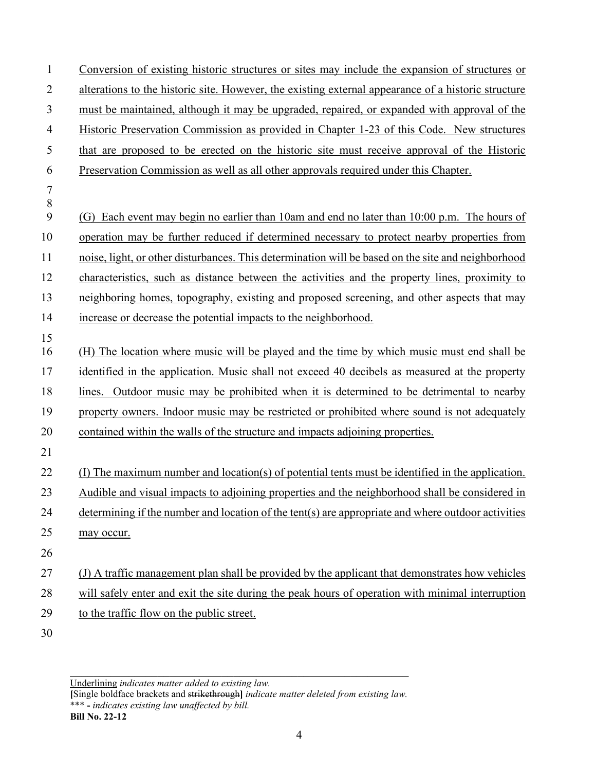Conversion of existing historic structures or sites may include the expansion of structures or alterations to the historic site. However, the existing external appearance of a historic structure must be maintained, although it may be upgraded, repaired, or expanded with approval of the Historic Preservation Commission as provided in Chapter 1-23 of this Code. New structures that are proposed to be erected on the historic site must receive approval of the Historic Preservation Commission as well as all other approvals required under this Chapter. (G) Each event may begin no earlier than 10am and end no later than 10:00 p.m. The hours of operation may be further reduced if determined necessary to protect nearby properties from noise, light, or other disturbances. This determination will be based on the site and neighborhood characteristics, such as distance between the activities and the property lines, proximity to neighboring homes, topography, existing and proposed screening, and other aspects that may increase or decrease the potential impacts to the neighborhood. (H) The location where music will be played and the time by which music must end shall be identified in the application. Music shall not exceed 40 decibels as measured at the property lines. Outdoor music may be prohibited when it is determined to be detrimental to nearby property owners. Indoor music may be restricted or prohibited where sound is not adequately contained within the walls of the structure and impacts adjoining properties. (I) The maximum number and location(s) of potential tents must be identified in the application. Audible and visual impacts to adjoining properties and the neighborhood shall be considered in determining if the number and location of the tent(s) are appropriate and where outdoor activities may occur. (J) A traffic management plan shall be provided by the applicant that demonstrates how vehicles will safely enter and exit the site during the peak hours of operation with minimal interruption to the traffic flow on the public street. 

**[**Single boldface brackets and strikethrough**]** *indicate matter deleted from existing law.* \*\*\* **-** *indicates existing law unaffected by bill.* **Bill No. 22-12**

\_\_\_\_\_\_\_\_\_\_\_\_\_\_\_\_\_\_\_\_\_\_\_\_\_\_\_\_\_\_\_\_\_\_\_\_\_\_\_\_\_\_\_\_\_\_\_\_\_\_\_\_\_\_\_\_\_\_ Underlining *indicates matter added to existing law.*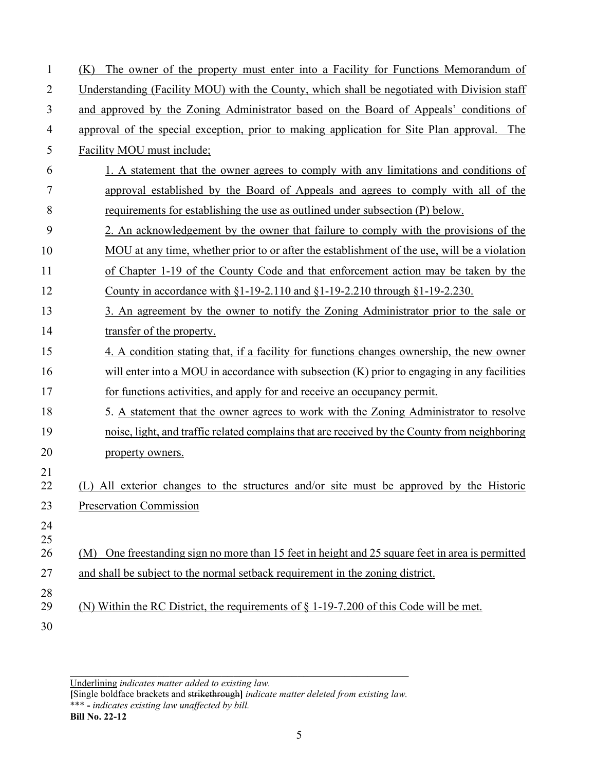| 1              | The owner of the property must enter into a Facility for Functions Memorandum of<br>(K)          |
|----------------|--------------------------------------------------------------------------------------------------|
|                |                                                                                                  |
| 2              | Understanding (Facility MOU) with the County, which shall be negotiated with Division staff      |
| 3              | and approved by the Zoning Administrator based on the Board of Appeals' conditions of            |
| $\overline{4}$ | approval of the special exception, prior to making application for Site Plan approval. The       |
| 5              | Facility MOU must include;                                                                       |
| 6              | 1. A statement that the owner agrees to comply with any limitations and conditions of            |
| 7              | approval established by the Board of Appeals and agrees to comply with all of the                |
| 8              | requirements for establishing the use as outlined under subsection (P) below.                    |
| 9              | 2. An acknowledgement by the owner that failure to comply with the provisions of the             |
| 10             | MOU at any time, whether prior to or after the establishment of the use, will be a violation     |
| 11             | of Chapter 1-19 of the County Code and that enforcement action may be taken by the               |
| 12             | County in accordance with $\S1-19-2.110$ and $\S1-19-2.210$ through $\S1-19-2.230$ .             |
| 13             | 3. An agreement by the owner to notify the Zoning Administrator prior to the sale or             |
| 14             | transfer of the property.                                                                        |
| 15             | 4. A condition stating that, if a facility for functions changes ownership, the new owner        |
| 16             | will enter into a MOU in accordance with subsection $(K)$ prior to engaging in any facilities    |
| 17             | for functions activities, and apply for and receive an occupancy permit.                         |
| 18             | 5. A statement that the owner agrees to work with the Zoning Administrator to resolve            |
| 19             | noise, light, and traffic related complains that are received by the County from neighboring     |
| 20             | property owners.                                                                                 |
| 21             |                                                                                                  |
| 22             | (L) All exterior changes to the structures and/or site must be approved by the Historic          |
| 23             | <b>Preservation Commission</b>                                                                   |
| 24<br>25       |                                                                                                  |
| 26             | (M) One freestanding sign no more than 15 feet in height and 25 square feet in area is permitted |
| 27             | and shall be subject to the normal setback requirement in the zoning district.                   |
| 28             |                                                                                                  |
| 29             | (N) Within the RC District, the requirements of $\S 1-19-7.200$ of this Code will be met.        |
| 30             |                                                                                                  |

Underlining *indicates matter added to existing law.*

**[**Single boldface brackets and strikethrough**]** *indicate matter deleted from existing law.* \*\*\* **-** *indicates existing law unaffected by bill.* **Bill No. 22-12**

\_\_\_\_\_\_\_\_\_\_\_\_\_\_\_\_\_\_\_\_\_\_\_\_\_\_\_\_\_\_\_\_\_\_\_\_\_\_\_\_\_\_\_\_\_\_\_\_\_\_\_\_\_\_\_\_\_\_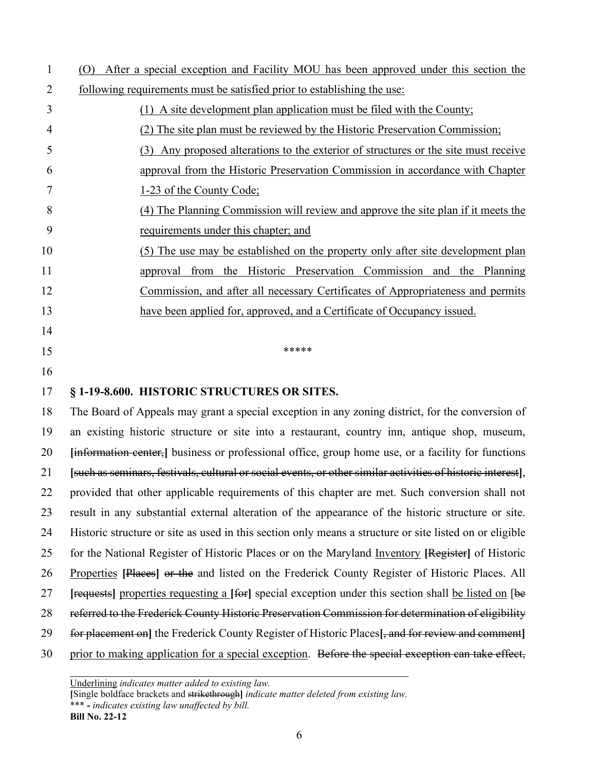| $\mathbf{1}$ | After a special exception and Facility MOU has been approved under this section the<br>(O)                   |
|--------------|--------------------------------------------------------------------------------------------------------------|
| 2            | following requirements must be satisfied prior to establishing the use:                                      |
| 3            | (1) A site development plan application must be filed with the County;                                       |
| 4            | (2) The site plan must be reviewed by the Historic Preservation Commission;                                  |
| 5            | (3) Any proposed alterations to the exterior of structures or the site must receive                          |
| 6            | approval from the Historic Preservation Commission in accordance with Chapter                                |
| 7            | 1-23 of the County Code;                                                                                     |
| 8            | (4) The Planning Commission will review and approve the site plan if it meets the                            |
| 9            | requirements under this chapter; and                                                                         |
| 10           | (5) The use may be established on the property only after site development plan                              |
| 11           | approval from the Historic Preservation Commission and the Planning                                          |
| 12           | Commission, and after all necessary Certificates of Appropriateness and permits                              |
| 13           | have been applied for, approved, and a Certificate of Occupancy issued.                                      |
| 14           |                                                                                                              |
| 15           | *****                                                                                                        |
| 16           |                                                                                                              |
| 17           | §1-19-8.600. HISTORIC STRUCTURES OR SITES.                                                                   |
| 18           | The Board of Appeals may grant a special exception in any zoning district, for the conversion of             |
| 19           | an existing historic structure or site into a restaurant, country inn, antique shop, museum,                 |
| 20           | [information center,] business or professional office, group home use, or a facility for functions           |
| 21           | [such as seminars, festivals, cultural or social events, or other similar activities of historic interest],  |
| 22           | provided that other applicable requirements of this chapter are met. Such conversion shall not               |
| 23           | result in any substantial external alteration of the appearance of the historic structure or site.           |
| 24           | Historic structure or site as used in this section only means a structure or site listed on or eligible      |
| 25           | for the National Register of Historic Places or on the Maryland Inventory [Register] of Historic             |
| 26           | Properties [Places] or the and listed on the Frederick County Register of Historic Places. All               |
| 27           | requests properties requesting a [for] special exception under this section shall be listed on [be           |
| 28           | referred to the Frederick County Historic Preservation Commission for determination of eligibility           |
| 29           | for placement on] the Frederick County Register of Historic Places <sup>[, and</sup> for review and comment] |
| 30           | prior to making application for a special exception. Before the special exception can take effect,           |